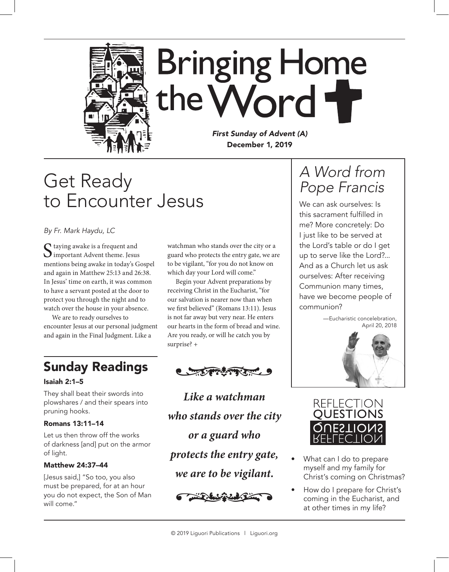

*First Sunday of Advent (A)* December 1, 2019

## Get Ready to Encounter Jesus

*By Fr. Mark Haydu, LC*

Staying awake is a frequent and<br>Simportant Advent theme. Jesus mentions being awake in today's Gospel and again in Matthew 25:13 and 26:38. In Jesus' time on earth, it was common to have a servant posted at the door to protect you through the night and to watch over the house in your absence.

We are to ready ourselves to encounter Jesus at our personal judgment and again in the Final Judgment. Like a

### Sunday Readings

#### Isaiah 2:1–5

They shall beat their swords into plowshares / and their spears into pruning hooks.

#### Romans 13:11–14

Let us then throw off the works of darkness [and] put on the armor of light.

#### Matthew 24:37–44

[Jesus said,] "So too, you also must be prepared, for at an hour you do not expect, the Son of Man will come."

watchman who stands over the city or a guard who protects the entry gate, we are to be vigilant, "for you do not know on which day your Lord will come."

Begin your Advent preparations by receiving Christ in the Eucharist, "for our salvation is nearer now than when we first believed" (Romans 13:11). Jesus is not far away but very near. He enters our hearts in the form of bread and wine. Are you ready, or will he catch you by surprise? +



*Like a watchman who stands over the city or a guard who protects the entry gate, we are to be vigilant.* •



### *A Word from Pope Francis*

We can ask ourselves: Is this sacrament fulfilled in me? More concretely: Do I just like to be served at the Lord's table or do I get up to serve like the Lord?... And as a Church let us ask ourselves: After receiving Communion many times, have we become people of communion?





- What can I do to prepare myself and my family for Christ's coming on Christmas?
- How do I prepare for Christ's coming in the Eucharist, and at other times in my life?